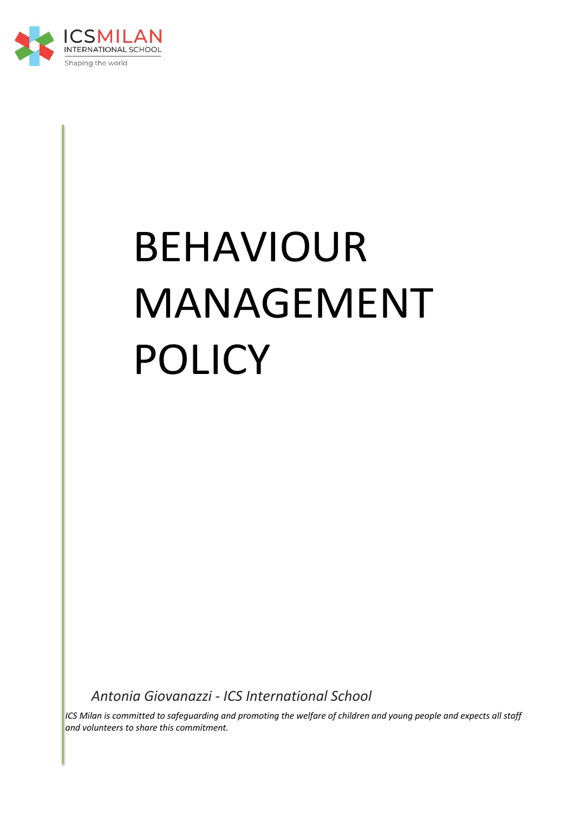

# BEHAVIOUR MANAGEMENT POLICY

*Antonia Giovanazzi - ICS International School*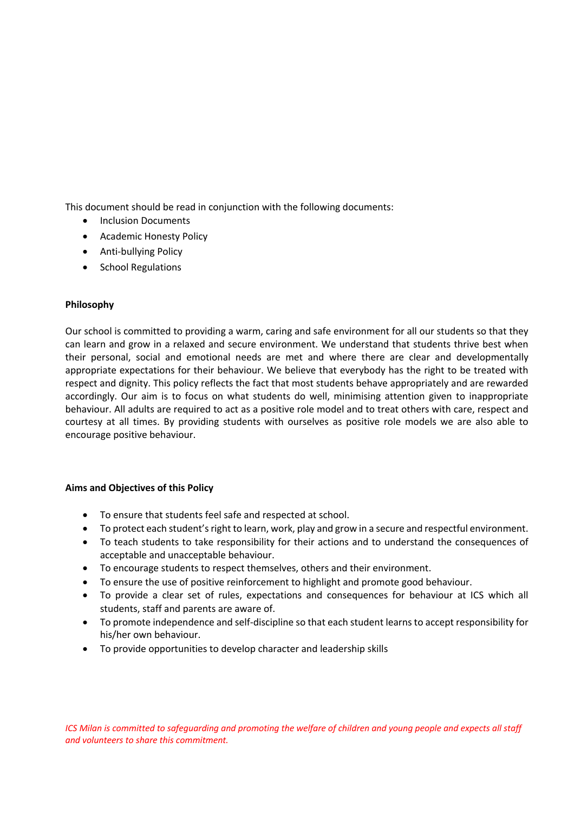This document should be read in conjunction with the following documents:

- Inclusion Documents
- Academic Honesty Policy
- Anti-bullying Policy
- School Regulations

# **Philosophy**

Our school is committed to providing a warm, caring and safe environment for all our students so that they can learn and grow in a relaxed and secure environment. We understand that students thrive best when their personal, social and emotional needs are met and where there are clear and developmentally appropriate expectations for their behaviour. We believe that everybody has the right to be treated with respect and dignity. This policy reflects the fact that most students behave appropriately and are rewarded accordingly. Our aim is to focus on what students do well, minimising attention given to inappropriate behaviour. All adults are required to act as a positive role model and to treat others with care, respect and courtesy at all times. By providing students with ourselves as positive role models we are also able to encourage positive behaviour.

# **Aims and Objectives of this Policy**

- To ensure that students feel safe and respected at school.
- To protect each student's right to learn, work, play and grow in a secure and respectful environment.
- To teach students to take responsibility for their actions and to understand the consequences of acceptable and unacceptable behaviour.
- To encourage students to respect themselves, others and their environment.
- To ensure the use of positive reinforcement to highlight and promote good behaviour.
- To provide a clear set of rules, expectations and consequences for behaviour at ICS which all students, staff and parents are aware of.
- To promote independence and self-discipline so that each student learns to accept responsibility for his/her own behaviour.
- To provide opportunities to develop character and leadership skills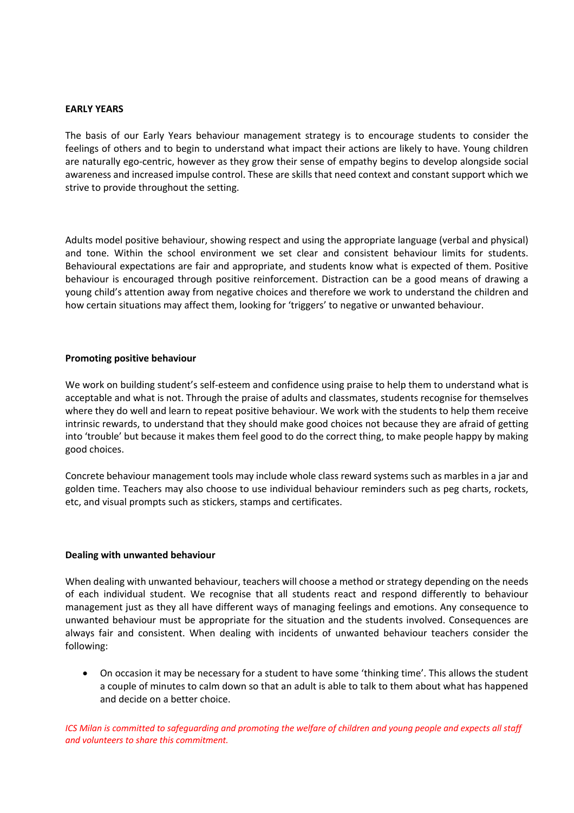#### **EARLY YEARS**

The basis of our Early Years behaviour management strategy is to encourage students to consider the feelings of others and to begin to understand what impact their actions are likely to have. Young children are naturally ego-centric, however as they grow their sense of empathy begins to develop alongside social awareness and increased impulse control. These are skills that need context and constant support which we strive to provide throughout the setting.

Adults model positive behaviour, showing respect and using the appropriate language (verbal and physical) and tone. Within the school environment we set clear and consistent behaviour limits for students. Behavioural expectations are fair and appropriate, and students know what is expected of them. Positive behaviour is encouraged through positive reinforcement. Distraction can be a good means of drawing a young child's attention away from negative choices and therefore we work to understand the children and how certain situations may affect them, looking for 'triggers' to negative or unwanted behaviour.

#### **Promoting positive behaviour**

We work on building student's self-esteem and confidence using praise to help them to understand what is acceptable and what is not. Through the praise of adults and classmates, students recognise for themselves where they do well and learn to repeat positive behaviour. We work with the students to help them receive intrinsic rewards, to understand that they should make good choices not because they are afraid of getting into 'trouble' but because it makes them feel good to do the correct thing, to make people happy by making good choices.

Concrete behaviour management tools may include whole class reward systems such as marbles in a jar and golden time. Teachers may also choose to use individual behaviour reminders such as peg charts, rockets, etc, and visual prompts such as stickers, stamps and certificates.

#### **Dealing with unwanted behaviour**

When dealing with unwanted behaviour, teachers will choose a method or strategy depending on the needs of each individual student. We recognise that all students react and respond differently to behaviour management just as they all have different ways of managing feelings and emotions. Any consequence to unwanted behaviour must be appropriate for the situation and the students involved. Consequences are always fair and consistent. When dealing with incidents of unwanted behaviour teachers consider the following:

• On occasion it may be necessary for a student to have some 'thinking time'. This allows the student a couple of minutes to calm down so that an adult is able to talk to them about what has happened and decide on a better choice.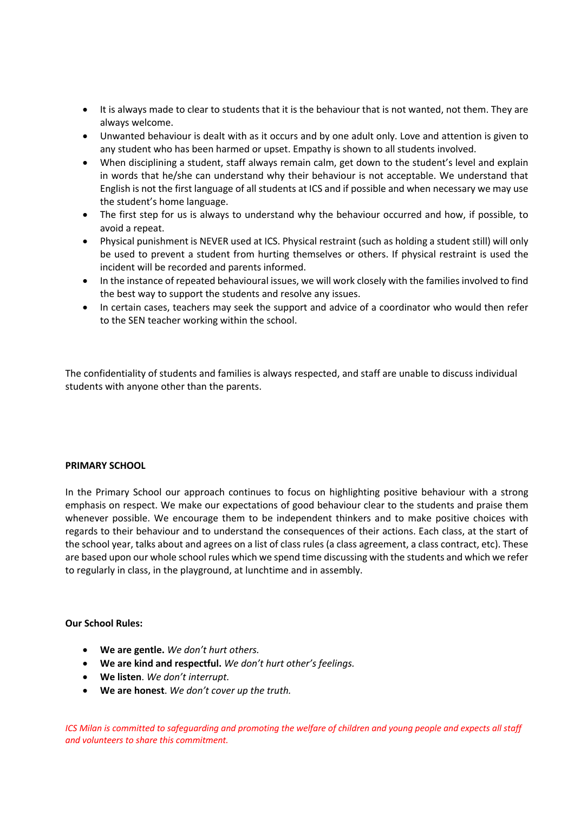- It is always made to clear to students that it is the behaviour that is not wanted, not them. They are always welcome.
- Unwanted behaviour is dealt with as it occurs and by one adult only. Love and attention is given to any student who has been harmed or upset. Empathy is shown to all students involved.
- When disciplining a student, staff always remain calm, get down to the student's level and explain in words that he/she can understand why their behaviour is not acceptable. We understand that English is not the first language of all students at ICS and if possible and when necessary we may use the student's home language.
- The first step for us is always to understand why the behaviour occurred and how, if possible, to avoid a repeat.
- Physical punishment is NEVER used at ICS. Physical restraint (such as holding a student still) will only be used to prevent a student from hurting themselves or others. If physical restraint is used the incident will be recorded and parents informed.
- In the instance of repeated behavioural issues, we will work closely with the families involved to find the best way to support the students and resolve any issues.
- In certain cases, teachers may seek the support and advice of a coordinator who would then refer to the SEN teacher working within the school.

The confidentiality of students and families is always respected, and staff are unable to discuss individual students with anyone other than the parents.

#### **PRIMARY SCHOOL**

In the Primary School our approach continues to focus on highlighting positive behaviour with a strong emphasis on respect. We make our expectations of good behaviour clear to the students and praise them whenever possible. We encourage them to be independent thinkers and to make positive choices with regards to their behaviour and to understand the consequences of their actions. Each class, at the start of the school year, talks about and agrees on a list of class rules (a class agreement, a class contract, etc). These are based upon our whole school rules which we spend time discussing with the students and which we refer to regularly in class, in the playground, at lunchtime and in assembly.

#### **Our School Rules:**

- **We are gentle.** *We don't hurt others.*
- **We are kind and respectful.** *We don't hurt other's feelings.*
- **We listen**. *We don't interrupt.*
- **We are honest**. *We don't cover up the truth.*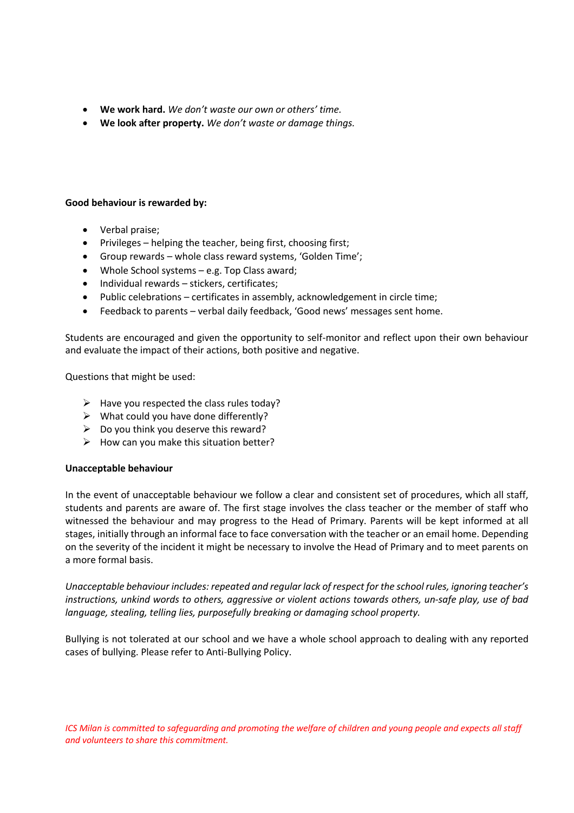- **We work hard.** *We don't waste our own or others' time.*
- **We look after property.** *We don't waste or damage things.*

## **Good behaviour is rewarded by:**

- Verbal praise;
- Privileges helping the teacher, being first, choosing first;
- Group rewards whole class reward systems, 'Golden Time';
- Whole School systems e.g. Top Class award;
- Individual rewards stickers, certificates;
- Public celebrations certificates in assembly, acknowledgement in circle time;
- Feedback to parents verbal daily feedback, 'Good news' messages sent home.

Students are encouraged and given the opportunity to self-monitor and reflect upon their own behaviour and evaluate the impact of their actions, both positive and negative.

Questions that might be used:

- $\triangleright$  Have you respected the class rules today?
- $\triangleright$  What could you have done differently?
- $\triangleright$  Do you think you deserve this reward?
- $\triangleright$  How can you make this situation better?

#### **Unacceptable behaviour**

In the event of unacceptable behaviour we follow a clear and consistent set of procedures, which all staff, students and parents are aware of. The first stage involves the class teacher or the member of staff who witnessed the behaviour and may progress to the Head of Primary. Parents will be kept informed at all stages, initially through an informal face to face conversation with the teacher or an email home. Depending on the severity of the incident it might be necessary to involve the Head of Primary and to meet parents on a more formal basis.

*Unacceptable behaviour includes: repeated and regular lack of respect for the school rules, ignoring teacher's instructions, unkind words to others, aggressive or violent actions towards others, un-safe play, use of bad language, stealing, telling lies, purposefully breaking or damaging school property.*

Bullying is not tolerated at our school and we have a whole school approach to dealing with any reported cases of bullying. Please refer to Anti-Bullying Policy.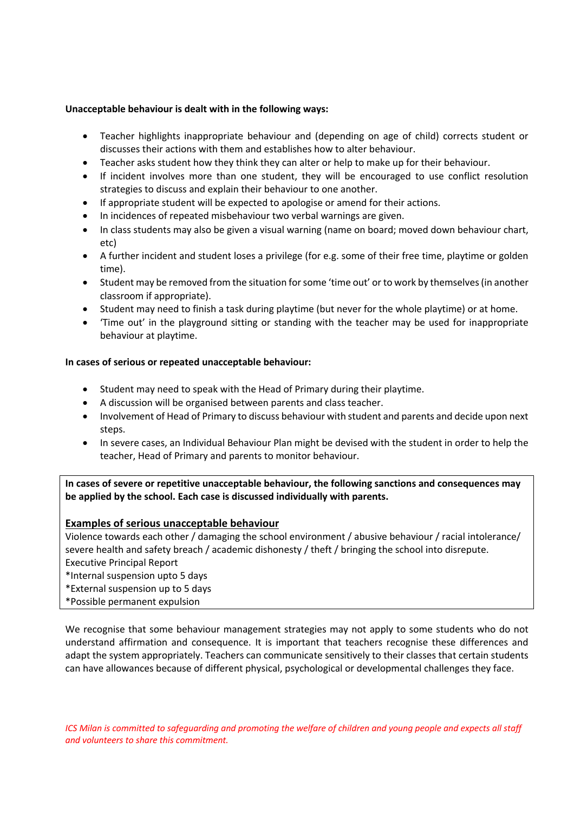## **Unacceptable behaviour is dealt with in the following ways:**

- Teacher highlights inappropriate behaviour and (depending on age of child) corrects student or discusses their actions with them and establishes how to alter behaviour.
- Teacher asks student how they think they can alter or help to make up for their behaviour.
- If incident involves more than one student, they will be encouraged to use conflict resolution strategies to discuss and explain their behaviour to one another.
- If appropriate student will be expected to apologise or amend for their actions.
- In incidences of repeated misbehaviour two verbal warnings are given.
- In class students may also be given a visual warning (name on board; moved down behaviour chart, etc)
- A further incident and student loses a privilege (for e.g. some of their free time, playtime or golden time).
- Student may be removed from the situation for some 'time out' or to work by themselves (in another classroom if appropriate).
- Student may need to finish a task during playtime (but never for the whole playtime) or at home.
- 'Time out' in the playground sitting or standing with the teacher may be used for inappropriate behaviour at playtime.

## **In cases of serious or repeated unacceptable behaviour:**

- Student may need to speak with the Head of Primary during their playtime.
- A discussion will be organised between parents and class teacher.
- Involvement of Head of Primary to discuss behaviour with student and parents and decide upon next steps.
- In severe cases, an Individual Behaviour Plan might be devised with the student in order to help the teacher, Head of Primary and parents to monitor behaviour.

**In cases of severe or repetitive unacceptable behaviour, the following sanctions and consequences may be applied by the school. Each case is discussed individually with parents.**

# **Examples of serious unacceptable behaviour**

Violence towards each other / damaging the school environment / abusive behaviour / racial intolerance/ severe health and safety breach / academic dishonesty / theft / bringing the school into disrepute. Executive Principal Report

\*Internal suspension upto 5 days

\*External suspension up to 5 days

\*Possible permanent expulsion

We recognise that some behaviour management strategies may not apply to some students who do not understand affirmation and consequence. It is important that teachers recognise these differences and adapt the system appropriately. Teachers can communicate sensitively to their classes that certain students can have allowances because of different physical, psychological or developmental challenges they face.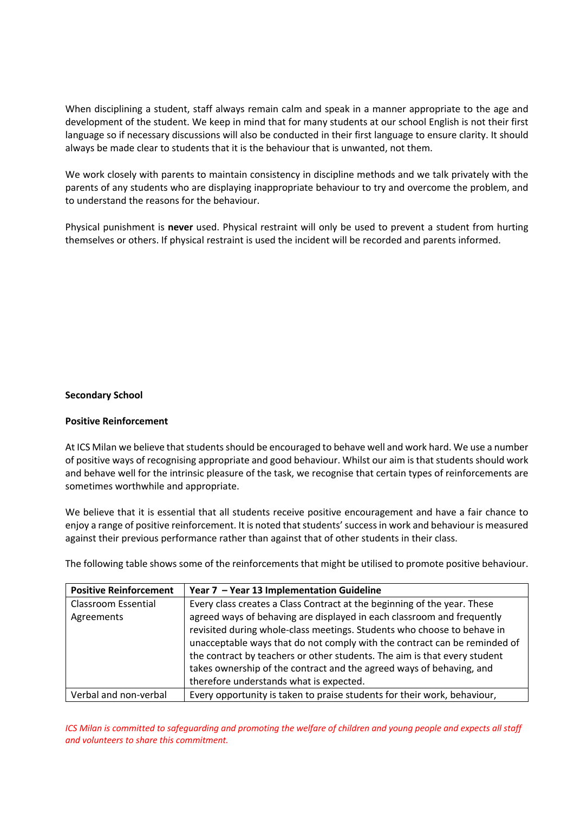When disciplining a student, staff always remain calm and speak in a manner appropriate to the age and development of the student. We keep in mind that for many students at our school English is not their first language so if necessary discussions will also be conducted in their first language to ensure clarity. It should always be made clear to students that it is the behaviour that is unwanted, not them.

We work closely with parents to maintain consistency in discipline methods and we talk privately with the parents of any students who are displaying inappropriate behaviour to try and overcome the problem, and to understand the reasons for the behaviour.

Physical punishment is **never** used. Physical restraint will only be used to prevent a student from hurting themselves or others. If physical restraint is used the incident will be recorded and parents informed.

#### **Secondary School**

#### **Positive Reinforcement**

At ICS Milan we believe that students should be encouraged to behave well and work hard. We use a number of positive ways of recognising appropriate and good behaviour. Whilst our aim is that students should work and behave well for the intrinsic pleasure of the task, we recognise that certain types of reinforcements are sometimes worthwhile and appropriate.

We believe that it is essential that all students receive positive encouragement and have a fair chance to enjoy a range of positive reinforcement. It is noted that students' success in work and behaviour is measured against their previous performance rather than against that of other students in their class.

The following table shows some of the reinforcements that might be utilised to promote positive behaviour.

| <b>Positive Reinforcement</b> | Year 7 - Year 13 Implementation Guideline                                 |
|-------------------------------|---------------------------------------------------------------------------|
| <b>Classroom Essential</b>    | Every class creates a Class Contract at the beginning of the year. These  |
| Agreements                    | agreed ways of behaving are displayed in each classroom and frequently    |
|                               | revisited during whole-class meetings. Students who choose to behave in   |
|                               | unacceptable ways that do not comply with the contract can be reminded of |
|                               | the contract by teachers or other students. The aim is that every student |
|                               | takes ownership of the contract and the agreed ways of behaving, and      |
|                               | therefore understands what is expected.                                   |
| Verbal and non-verbal         | Every opportunity is taken to praise students for their work, behaviour,  |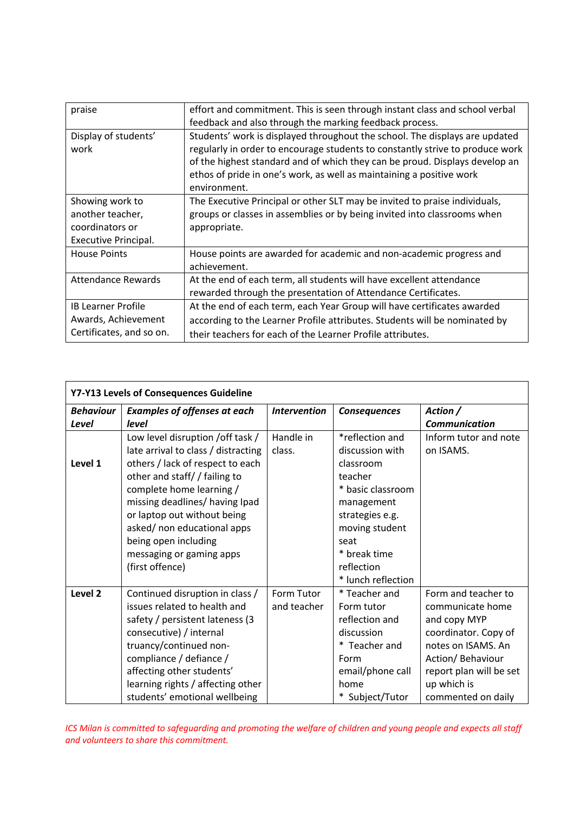| praise                                                                         | effort and commitment. This is seen through instant class and school verbal<br>feedback and also through the marking feedback process.                                                                                                                                                                                              |  |  |
|--------------------------------------------------------------------------------|-------------------------------------------------------------------------------------------------------------------------------------------------------------------------------------------------------------------------------------------------------------------------------------------------------------------------------------|--|--|
| Display of students'<br>work                                                   | Students' work is displayed throughout the school. The displays are updated<br>regularly in order to encourage students to constantly strive to produce work<br>of the highest standard and of which they can be proud. Displays develop an<br>ethos of pride in one's work, as well as maintaining a positive work<br>environment. |  |  |
| Showing work to<br>another teacher,<br>coordinators or<br>Executive Principal. | The Executive Principal or other SLT may be invited to praise individuals,<br>groups or classes in assemblies or by being invited into classrooms when<br>appropriate.                                                                                                                                                              |  |  |
| <b>House Points</b>                                                            | House points are awarded for academic and non-academic progress and<br>achievement.                                                                                                                                                                                                                                                 |  |  |
| Attendance Rewards                                                             | At the end of each term, all students will have excellent attendance<br>rewarded through the presentation of Attendance Certificates.                                                                                                                                                                                               |  |  |
| <b>IB Learner Profile</b><br>Awards, Achievement<br>Certificates, and so on.   | At the end of each term, each Year Group will have certificates awarded<br>according to the Learner Profile attributes. Students will be nominated by<br>their teachers for each of the Learner Profile attributes.                                                                                                                 |  |  |

| Y7-Y13 Levels of Consequences Guideline |                                                                                                                                                                                                                                                                                                                                                  |                           |                                                                                                                                                                                                |                                                                                                                                                                                            |  |  |  |  |
|-----------------------------------------|--------------------------------------------------------------------------------------------------------------------------------------------------------------------------------------------------------------------------------------------------------------------------------------------------------------------------------------------------|---------------------------|------------------------------------------------------------------------------------------------------------------------------------------------------------------------------------------------|--------------------------------------------------------------------------------------------------------------------------------------------------------------------------------------------|--|--|--|--|
| <b>Behaviour</b>                        | <b>Examples of offenses at each</b>                                                                                                                                                                                                                                                                                                              | <b>Intervention</b>       | <b>Consequences</b>                                                                                                                                                                            | Action /                                                                                                                                                                                   |  |  |  |  |
| Level                                   | level                                                                                                                                                                                                                                                                                                                                            |                           |                                                                                                                                                                                                | <b>Communication</b>                                                                                                                                                                       |  |  |  |  |
| Level 1                                 | Low level disruption / off task /<br>late arrival to class / distracting<br>others / lack of respect to each<br>other and staff/ / failing to<br>complete home learning /<br>missing deadlines/ having Ipad<br>or laptop out without being<br>asked/ non educational apps<br>being open including<br>messaging or gaming apps<br>(first offence) | Handle in<br>class.       | *reflection and<br>discussion with<br>classroom<br>teacher<br>* basic classroom<br>management<br>strategies e.g.<br>moving student<br>seat<br>* break time<br>reflection<br>* lunch reflection | Inform tutor and note<br>on ISAMS.                                                                                                                                                         |  |  |  |  |
| Level <sub>2</sub>                      | Continued disruption in class /<br>issues related to health and<br>safety / persistent lateness (3)<br>consecutive) / internal<br>truancy/continued non-<br>compliance / defiance /<br>affecting other students'<br>learning rights / affecting other<br>students' emotional wellbeing                                                           | Form Tutor<br>and teacher | * Teacher and<br>Form tutor<br>reflection and<br>discussion<br>* Teacher and<br>Form<br>email/phone call<br>home<br>* Subject/Tutor                                                            | Form and teacher to<br>communicate home<br>and copy MYP<br>coordinator. Copy of<br>notes on ISAMS. An<br>Action/ Behaviour<br>report plan will be set<br>up which is<br>commented on daily |  |  |  |  |